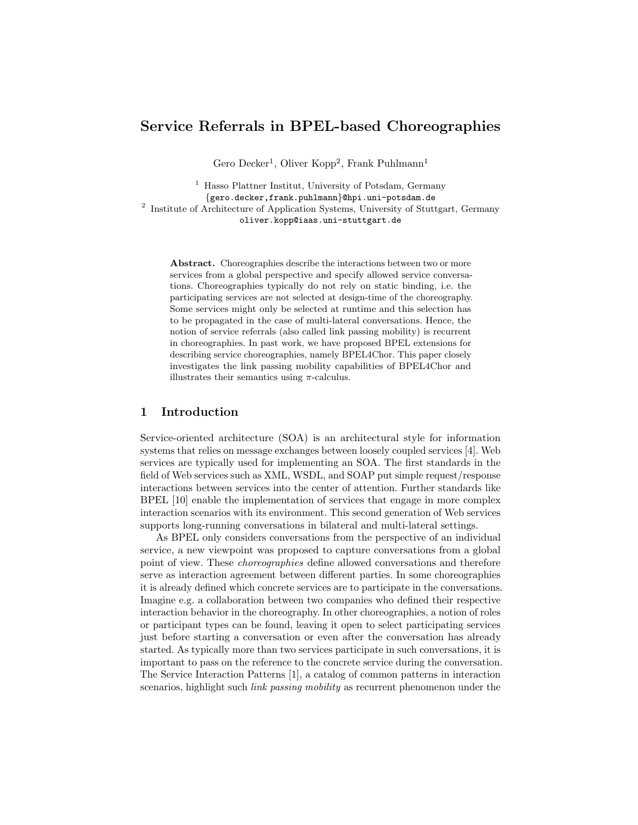# Service Referrals in BPEL-based Choreographies

Gero Decker<sup>1</sup>, Oliver Kopp<sup>2</sup>, Frank Puhlmann<sup>1</sup>

<sup>1</sup> Hasso Plattner Institut, University of Potsdam, Germany {gero.decker,frank.puhlmann}@hpi.uni-potsdam.de <sup>2</sup> Institute of Architecture of Application Systems, University of Stuttgart, Germany oliver.kopp@iaas.uni-stuttgart.de

Abstract. Choreographies describe the interactions between two or more services from a global perspective and specify allowed service conversations. Choreographies typically do not rely on static binding, i.e. the participating services are not selected at design-time of the choreography. Some services might only be selected at runtime and this selection has to be propagated in the case of multi-lateral conversations. Hence, the notion of service referrals (also called link passing mobility) is recurrent in choreographies. In past work, we have proposed BPEL extensions for describing service choreographies, namely BPEL4Chor. This paper closely investigates the link passing mobility capabilities of BPEL4Chor and illustrates their semantics using  $\pi$ -calculus.

# 1 Introduction

Service-oriented architecture (SOA) is an architectural style for information systems that relies on message exchanges between loosely coupled services [[4](#page-5-0)]. Web services are typically used for implementing an SOA. The first standards in the field of Web services such as XML, WSDL, and SOAP put simple request/response interactions between services into the center of attention. Further standards like BPEL [[10](#page-5-1)] enable the implementation of services that engage in more complex interaction scenarios with its environment. This second generation of Web services supports long-running conversations in bilateral and multi-lateral settings.

As BPEL only considers conversations from the perspective of an individual service, a new viewpoint was proposed to capture conversations from a global point of view. These choreographies define allowed conversations and therefore serve as interaction agreement between different parties. In some choreographies it is already defined which concrete services are to participate in the conversations. Imagine e.g. a collaboration between two companies who defined their respective interaction behavior in the choreography. In other choreographies, a notion of roles or participant types can be found, leaving it open to select participating services just before starting a conversation or even after the conversation has already started. As typically more than two services participate in such conversations, it is important to pass on the reference to the concrete service during the conversation. The Service Interaction Patterns [[1](#page-5-2)], a catalog of common patterns in interaction scenarios, highlight such *link passing mobility* as recurrent phenomenon under the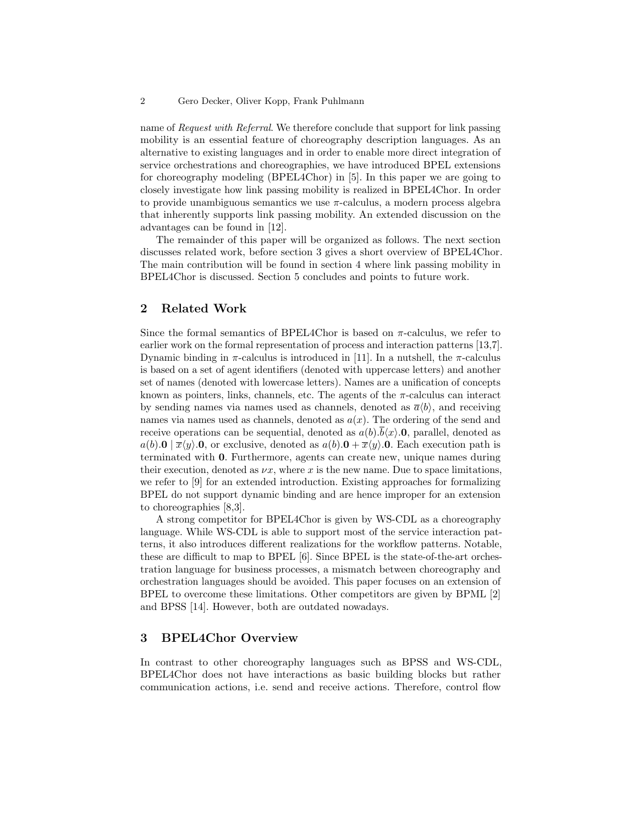#### 2 Gero Decker, Oliver Kopp, Frank Puhlmann

name of Request with Referral. We therefore conclude that support for link passing mobility is an essential feature of choreography description languages. As an alternative to existing languages and in order to enable more direct integration of service orchestrations and choreographies, we have introduced BPEL extensions for choreography modeling (BPEL4Chor) in [[5](#page-5-3)]. In this paper we are going to closely investigate how link passing mobility is realized in BPEL4Chor. In order to provide unambiguous semantics we use  $\pi$ -calculus, a modern process algebra that inherently supports link passing mobility. An extended discussion on the advantages can be found in [\[12\]](#page-5-4).

The remainder of this paper will be organized as follows. The next section discusses related work, before section [3](#page-1-0) gives a short overview of BPEL4Chor. The main contribution will be found in section [4](#page-2-0) where link passing mobility in BPEL4Chor is discussed. Section [5](#page-4-0) concludes and points to future work.

# 2 Related Work

Since the formal semantics of BPEL4Chor is based on  $\pi$ -calculus, we refer to earlier work on the formal representation of process and interaction patterns [[13](#page-5-5),[7](#page-5-6)]. Dynamic binding in  $\pi$ -calculus is introduced in [[11](#page-5-7)]. In a nutshell, the  $\pi$ -calculus is based on a set of agent identifiers (denoted with uppercase letters) and another set of names (denoted with lowercase letters). Names are a unification of concepts known as pointers, links, channels, etc. The agents of the  $\pi$ -calculus can interact by sending names via names used as channels, denoted as  $\bar{a}\langle b \rangle$ , and receiving names via names used as channels, denoted as  $a(x)$ . The ordering of the send and receive operations can be sequential, denoted as  $a(b).b\langle x\rangle.0$ , parallel, denoted as  $a(b).0 \mid \overline{x}\langle y \rangle.0$ , or exclusive, denoted as  $a(b).0 + \overline{x}\langle y \rangle.0$ . Each execution path is terminated with 0. Furthermore, agents can create new, unique names during their execution, denoted as  $\nu x$ , where x is the new name. Due to space limitations, we refer to [[9](#page-5-8)] for an extended introduction. Existing approaches for formalizing BPEL do not support dynamic binding and are hence improper for an extension to choreographies [\[8,](#page-5-9)[3\]](#page-5-10).

A strong competitor for BPEL4Chor is given by WS-CDL as a choreography language. While WS-CDL is able to support most of the service interaction patterns, it also introduces different realizations for the workflow patterns. Notable, these are difficult to map to BPEL [[6](#page-5-11)]. Since BPEL is the state-of-the-art orchestration language for business processes, a mismatch between choreography and orchestration languages should be avoided. This paper focuses on an extension of BPEL to overcome these limitations. Other competitors are given by BPML [[2](#page-5-12)] and BPSS [\[14\]](#page-5-13). However, both are outdated nowadays.

### <span id="page-1-0"></span>3 BPEL4Chor Overview

In contrast to other choreography languages such as BPSS and WS-CDL, BPEL4Chor does not have interactions as basic building blocks but rather communication actions, i.e. send and receive actions. Therefore, control flow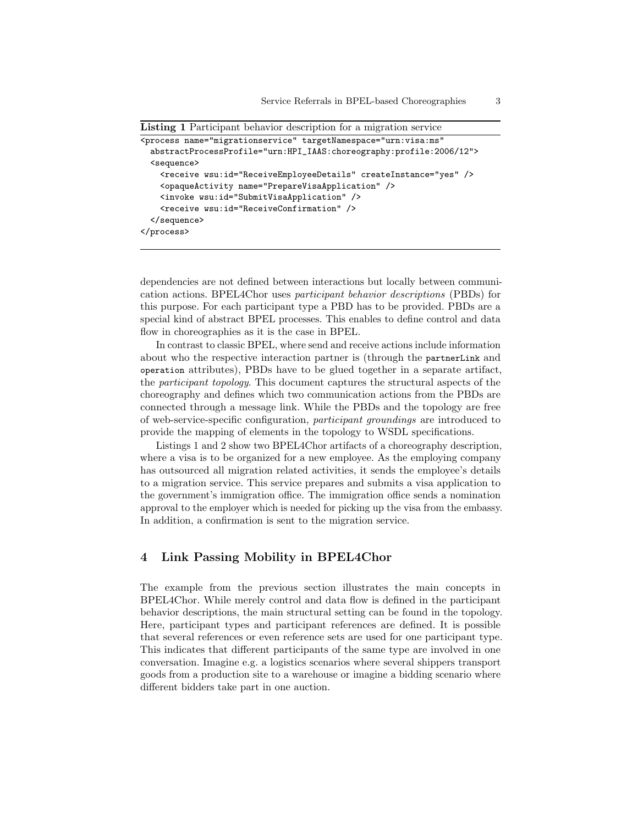```
Listing 1 Participant behavior description for a migration service
```

```
<process name="migrationservice" targetNamespace="urn:visa:ms"
 abstractProcessProfile="urn:HPI_IAAS:choreography:profile:2006/12">
  <sequence>
    <receive wsu:id="ReceiveEmployeeDetails" createInstance="yes" />
    <opaqueActivity name="PrepareVisaApplication" />
    <invoke wsu:id="SubmitVisaApplication" />
    <receive wsu:id="ReceiveConfirmation" />
  </sequence>
</process>
```
<span id="page-2-1"></span>dependencies are not defined between interactions but locally between communication actions. BPEL4Chor uses participant behavior descriptions (PBDs) for this purpose. For each participant type a PBD has to be provided. PBDs are a special kind of abstract BPEL processes. This enables to define control and data flow in choreographies as it is the case in BPEL.

In contrast to classic BPEL, where send and receive actions include information about who the respective interaction partner is (through the partnerLink and operation attributes), PBDs have to be glued together in a separate artifact, the participant topology. This document captures the structural aspects of the choreography and defines which two communication actions from the PBDs are connected through a message link. While the PBDs and the topology are free of web-service-specific configuration, participant groundings are introduced to provide the mapping of elements in the topology to WSDL specifications.

Listings [1](#page-2-1) and [2](#page-3-0) show two BPEL4Chor artifacts of a choreography description, where a visa is to be organized for a new employee. As the employing company has outsourced all migration related activities, it sends the employee's details to a migration service. This service prepares and submits a visa application to the government's immigration office. The immigration office sends a nomination approval to the employer which is needed for picking up the visa from the embassy. In addition, a confirmation is sent to the migration service.

# <span id="page-2-0"></span>4 Link Passing Mobility in BPEL4Chor

The example from the previous section illustrates the main concepts in BPEL4Chor. While merely control and data flow is defined in the participant behavior descriptions, the main structural setting can be found in the topology. Here, participant types and participant references are defined. It is possible that several references or even reference sets are used for one participant type. This indicates that different participants of the same type are involved in one conversation. Imagine e.g. a logistics scenarios where several shippers transport goods from a production site to a warehouse or imagine a bidding scenario where different bidders take part in one auction.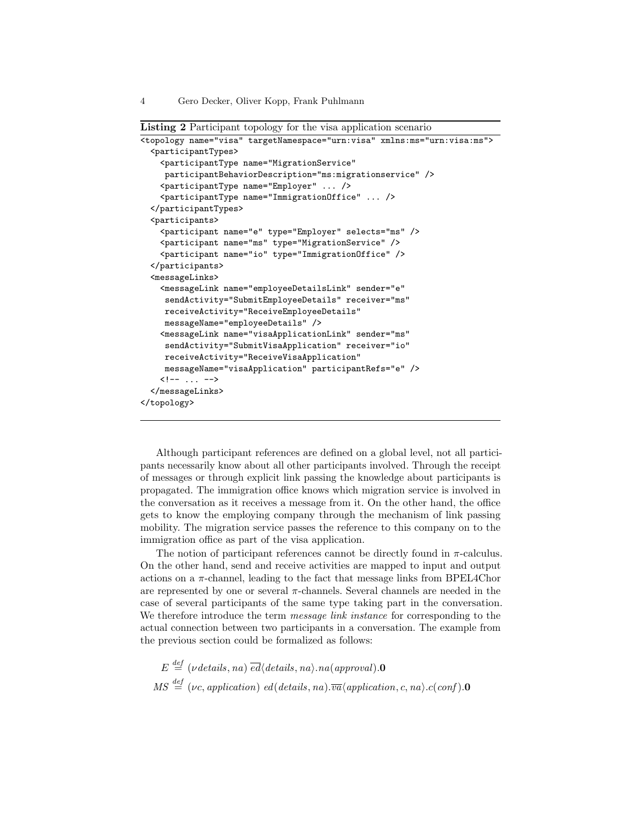Listing 2 Participant topology for the visa application scenario

```
<topology name="visa" targetNamespace="urn:visa" xmlns:ms="urn:visa:ms">
  <participantTypes>
    <participantType name="MigrationService"
    participantBehaviorDescription="ms:migrationservice" />
    <participantType name="Employer" ... />
    <participantType name="ImmigrationOffice" ... />
  </participantTypes>
  <participants>
    <participant name="e" type="Employer" selects="ms" />
    <participant name="ms" type="MigrationService" />
    <participant name="io" type="ImmigrationOffice" />
  </participants>
  <messageLinks>
    <messageLink name="employeeDetailsLink" sender="e"
     sendActivity="SubmitEmployeeDetails" receiver="ms"
    receiveActivity="ReceiveEmployeeDetails"
    messageName="employeeDetails" />
    <messageLink name="visaApplicationLink" sender="ms"
     sendActivity="SubmitVisaApplication" receiver="io"
     receiveActivity="ReceiveVisaApplication"
    messageName="visaApplication" participantRefs="e" />
    \left\{ - - \ldots - - \right\}</messageLinks>
</topology>
```
<span id="page-3-0"></span>Although participant references are defined on a global level, not all participants necessarily know about all other participants involved. Through the receipt of messages or through explicit link passing the knowledge about participants is propagated. The immigration office knows which migration service is involved in the conversation as it receives a message from it. On the other hand, the office gets to know the employing company through the mechanism of link passing mobility. The migration service passes the reference to this company on to the immigration office as part of the visa application.

The notion of participant references cannot be directly found in  $\pi$ -calculus. On the other hand, send and receive activities are mapped to input and output actions on a  $\pi$ -channel, leading to the fact that message links from BPEL4Chor are represented by one or several  $\pi$ -channels. Several channels are needed in the case of several participants of the same type taking part in the conversation. We therefore introduce the term *message link instance* for corresponding to the actual connection between two participants in a conversation. The example from the previous section could be formalized as follows:

 $E \stackrel{def}{=} (\nu details, na) \stackrel{\overline{ed}}{ed} \langle details, na \rangle .na (approxal).$  $MS \stackrel{def}{=} (\nu_c, application)$  ed(details, na). $\overline{va}$ (application, c, na).c(conf).**0**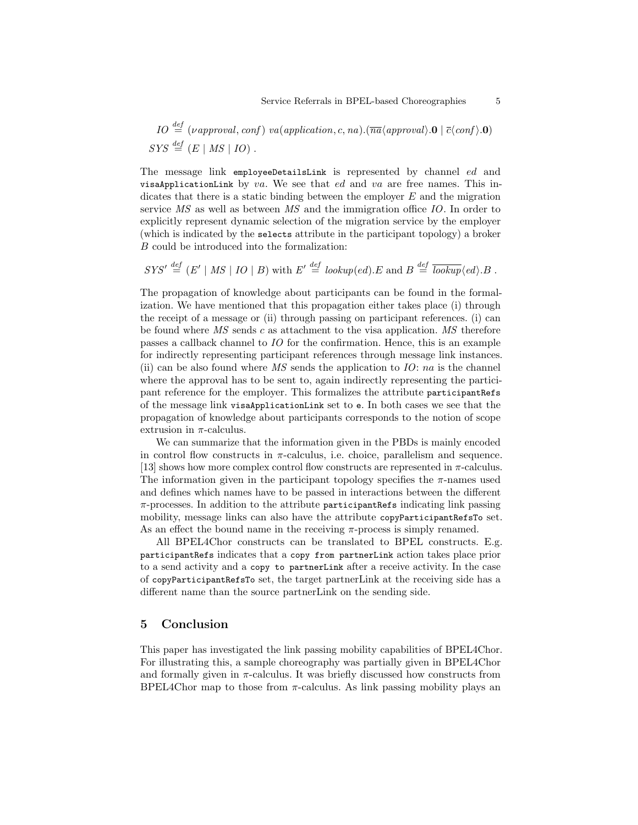*IO* 
$$
\stackrel{def}{=} (\nu \text{approval}, \text{conf}) \text{va}(\text{application}, c, na).(\overline{\text{na}} \langle \text{approval} \rangle. \mathbf{0} \mid \overline{c} \langle \text{conf} \rangle. \mathbf{0})
$$
  
*SYS*  $\stackrel{def}{=} (E \mid MS \mid IO)$ .

The message link employeeDetailsLink is represented by channel ed and visaApplicationLink by va. We see that ed and va are free names. This indicates that there is a static binding between the employer  $E$  and the migration service MS as well as between MS and the immigration office IO. In order to explicitly represent dynamic selection of the migration service by the employer (which is indicated by the selects attribute in the participant topology) a broker B could be introduced into the formalization:

 $SYS' \stackrel{def}{=} (E' | MS | IO | B)$  with  $E' \stackrel{def}{=} lookup(ed).E$  and  $B \stackrel{def}{=} \overline{lookup}(ed).B$ .

The propagation of knowledge about participants can be found in the formalization. We have mentioned that this propagation either takes place (i) through the receipt of a message or (ii) through passing on participant references. (i) can be found where  $\overline{MS}$  sends c as attachment to the visa application.  $\overline{MS}$  therefore passes a callback channel to IO for the confirmation. Hence, this is an example for indirectly representing participant references through message link instances. (ii) can be also found where MS sends the application to  $IO: na$  is the channel where the approval has to be sent to, again indirectly representing the participant reference for the employer. This formalizes the attribute participantRefs of the message link visaApplicationLink set to e. In both cases we see that the propagation of knowledge about participants corresponds to the notion of scope extrusion in  $\pi$ -calculus.

We can summarize that the information given in the PBDs is mainly encoded in control flow constructs in  $\pi$ -calculus, i.e. choice, parallelism and sequence. [[13](#page-5-5)] shows how more complex control flow constructs are represented in  $\pi$ -calculus. The information given in the participant topology specifies the  $\pi$ -names used and defines which names have to be passed in interactions between the different  $\pi$ -processes. In addition to the attribute participant Refs indicating link passing mobility, message links can also have the attribute copyParticipantRefsTo set. As an effect the bound name in the receiving  $\pi$ -process is simply renamed.

All BPEL4Chor constructs can be translated to BPEL constructs. E.g. participantRefs indicates that a copy from partnerLink action takes place prior to a send activity and a copy to partnerLink after a receive activity. In the case of copyParticipantRefsTo set, the target partnerLink at the receiving side has a different name than the source partnerLink on the sending side.

### <span id="page-4-0"></span>5 Conclusion

This paper has investigated the link passing mobility capabilities of BPEL4Chor. For illustrating this, a sample choreography was partially given in BPEL4Chor and formally given in  $\pi$ -calculus. It was briefly discussed how constructs from BPEL4Chor map to those from  $\pi$ -calculus. As link passing mobility plays an